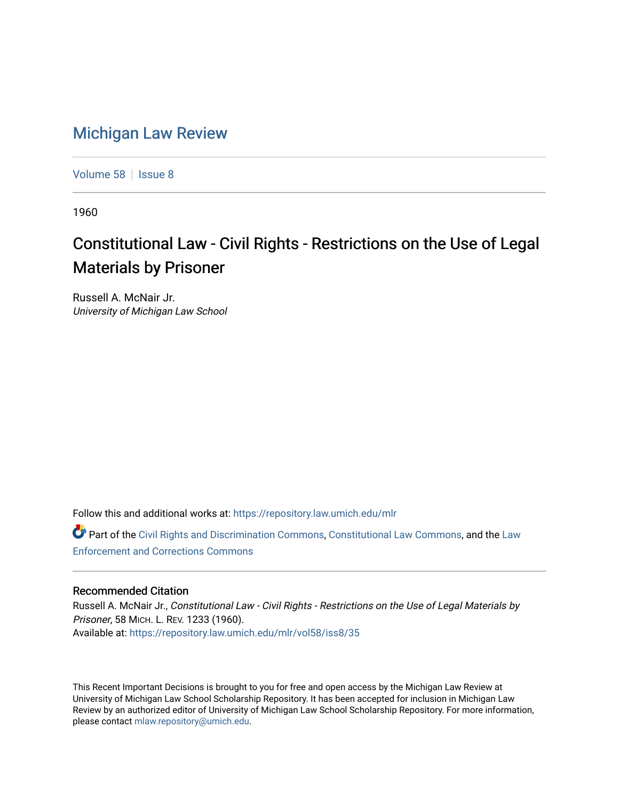## [Michigan Law Review](https://repository.law.umich.edu/mlr)

[Volume 58](https://repository.law.umich.edu/mlr/vol58) | [Issue 8](https://repository.law.umich.edu/mlr/vol58/iss8)

1960

## Constitutional Law - Civil Rights - Restrictions on the Use of Legal Materials by Prisoner

Russell A. McNair Jr. University of Michigan Law School

Follow this and additional works at: [https://repository.law.umich.edu/mlr](https://repository.law.umich.edu/mlr?utm_source=repository.law.umich.edu%2Fmlr%2Fvol58%2Fiss8%2F35&utm_medium=PDF&utm_campaign=PDFCoverPages) 

Part of the [Civil Rights and Discrimination Commons,](http://network.bepress.com/hgg/discipline/585?utm_source=repository.law.umich.edu%2Fmlr%2Fvol58%2Fiss8%2F35&utm_medium=PDF&utm_campaign=PDFCoverPages) [Constitutional Law Commons,](http://network.bepress.com/hgg/discipline/589?utm_source=repository.law.umich.edu%2Fmlr%2Fvol58%2Fiss8%2F35&utm_medium=PDF&utm_campaign=PDFCoverPages) and the [Law](http://network.bepress.com/hgg/discipline/854?utm_source=repository.law.umich.edu%2Fmlr%2Fvol58%2Fiss8%2F35&utm_medium=PDF&utm_campaign=PDFCoverPages) [Enforcement and Corrections Commons](http://network.bepress.com/hgg/discipline/854?utm_source=repository.law.umich.edu%2Fmlr%2Fvol58%2Fiss8%2F35&utm_medium=PDF&utm_campaign=PDFCoverPages) 

## Recommended Citation

Russell A. McNair Jr., Constitutional Law - Civil Rights - Restrictions on the Use of Legal Materials by Prisoner, 58 MICH. L. REV. 1233 (1960). Available at: [https://repository.law.umich.edu/mlr/vol58/iss8/35](https://repository.law.umich.edu/mlr/vol58/iss8/35?utm_source=repository.law.umich.edu%2Fmlr%2Fvol58%2Fiss8%2F35&utm_medium=PDF&utm_campaign=PDFCoverPages) 

This Recent Important Decisions is brought to you for free and open access by the Michigan Law Review at University of Michigan Law School Scholarship Repository. It has been accepted for inclusion in Michigan Law Review by an authorized editor of University of Michigan Law School Scholarship Repository. For more information, please contact [mlaw.repository@umich.edu.](mailto:mlaw.repository@umich.edu)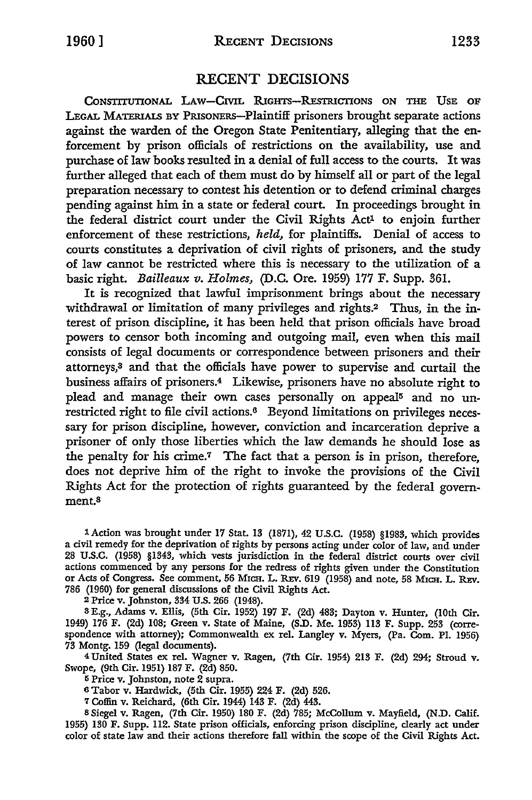1960] RECENT DECISIONS 1233

## RECENT DECISIONS

CONSTITUTIONAL LAW-CIVIL RIGHTS-RESTRICTIONS ON THE USE OF LEGAL MATERIALS BY PRISONERS-Plaintiff prisoners brought separate actions against the warden of the Oregon State Penitentiary, alleging that the enforcement by prison officials of restrictions on the availability, use and purchase of law books resulted in a denial of full access to the courts. It was further alleged that each of them must do by himself all or part of the legal preparation necessary to contest his detention or to defend criminal charges pending against him in a state or federal court. In proceedings brought in the federal district court under the Civil Rights Act<sup>1</sup> to enjoin further enforcement of these restrictions, *held*, for plaintiffs. Denial of access to courts constitutes a deprivation of civil rights of prisoners, and the study of law cannot be restricted where this is necessary to the utilization of a basic right. *Bailleaux v. Holmes,* (D.C. Ore. 1959) 177 F. Supp. 361.

It is recognized that lawful imprisonment brings about the necessary withdrawal or limitation of many privileges and rights.2 Thus, in the interest of prison discipline, it has been held that prison officials have broad powers to censor both incoming and outgoing mail, even when this mail consists of legal documents or correspondence between prisoners and their attorneys,<sup>3</sup> and that the officials have power to supervise and curtail the business affairs of prisoners.4 Likewise, prisoners have no absolute right to plead and manage their own cases personally on appeal<sup>5</sup> and no unrestricted right to file civil actions.6 Beyond limitations on privileges necessary for prison discipline, however, conviction and incarceration deprive a prisoner of only those liberties which the law demands he should lose as the penalty for his crime.7 The fact that a person is in prison, therefore, does not deprive him of the right to invoke the provisions of the Civil Rights Act for the protection of rights guaranteed by the federal govemment.8

1 Action was brought under 17 Stat. 13 (1871), 42 U.S.C. (1958) §1983, which provides a civil remedy for the deprivation of rights by persons acting under color of law, and under 28 U.S.C. (1958) §1343, which vests jurisdiction in the federal district courts over civil actions commenced by any persons for the redress of rights given under the Constitution or Acts of Congress. See comment, 56 MICH. L. REV. 619 (1958) and note, 58 MICH. L. REV. 786 (1960) for general discussions of the Civil Rights Act.

2 Price v. Johnston, 334 U.S. 266 (1948).

3 E.g., Adams v. Ellis, (5th Cir. 1952) 197 F. (2d) 483; Dayton v. Hunter, (10th Cir. 1949) 176 F. (2d) 108; Green v. State of Maine, (S.D. Me. 1953) 113 F. Supp. 253 (correspondence with attorney); Commonwealth ex rel. Langley v. Myers, (Pa. Com. PI. 1956) 73 Montg. 159 (legal documents).

4 United States ex rel. Wagner v. Ragen, (7th Cir. 1954) 213 F. (2d) 294; Stroud v. Swope, (9th Cir. 1951) 187 F. (2d) 850.

5 Price v. Johnston, note 2 supra.

6 Tabor v. Hardwick, (5th Cir. 1955) 224 F. (2d) 526.

7 Coffin v. Reichard, (6th Cir. 1944) 143 F. (2d) 443.

8 Siegel v. Ragen, (7th Cir. 1950) 180 F. (2d) 785; McCollum v. Mayfield, (N.D. Calif. 1955) 130 F. Supp. 112. State prison officials, enforcing prison discipline, clearly act under color of state law and their actions therefore fall within the scope of the Civil Rights Act.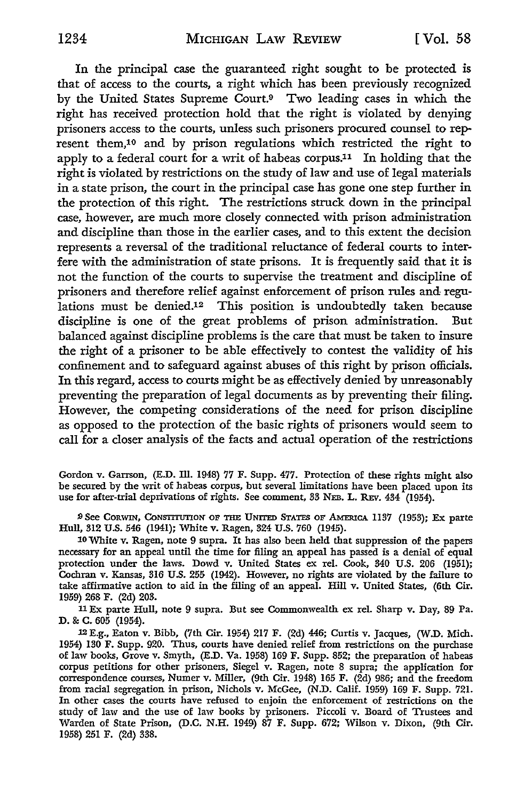In the principal case the guaranteed right sought to be protected is that of access to the courts, a right which has been previously recognized by the United States Supreme Court.9 Two leading cases in which the right has received protection hold that the right is violated by denying prisoners access to the courts, unless such prisoners procured counsel to represent them,10 and by prison regulations which restricted the right to apply to a federal court for a writ of habeas corpus.11 In holding that the right is violated by restrictions on the study of law and use of legal materials in a state prison, the court in the principal case has gone one step further in the protection of this right. The restrictions struck down in the principal case, however, are much more closely connected with prison administration and discipline than those in the earlier cases, and to this extent the decision represents a reversal of the traditional reluctance of federal courts to interfere with the administration of state prisons. It is frequently said that it is not the function of the courts to supervise the treatment and discipline of prisoners and therefore relief against enforcement of prison rules and regulations must be denied.12 This position is undoubtedly taken because discipline is one of the great problems of prison administration. But balanced against discipline problems is the care that must be taken to insure the right of a prisoner to be able effectively to contest the validity of his confinement and to safeguard against abuses of this right by prison officials. In this regard, access to courts might be as effectively denied by unreasonably preventing the preparation of legal documents as by preventing their filing. However, the competing considerations of the need for prison discipline as opposed to the protection of the basic rights of prisoners would seem to call for a closer analysis of the facts and actual operation of the restrictions

Gordon v. Garrson, (E.D. Ill. 1948) 77 F. Supp. 477. Protection of these rights might also be secured by the writ of habeas corpus, but several limitations have been placed upon its use for after-trial deprivations of rights. See comment, 33 NEB. L. REv. 434 (1954).

<sup>9</sup> See CORWIN, CONSTITUTION OF THE UNITED STATES OF AMERICA 1137 (1953); Ex parte Hull, 312 U.S. 546 (1941); White v. Ragen, 324 U.S. 760 (1945).

10 White v. Ragen, note 9 supra. It has also been held that suppression of the papers necessary for an appeal until the time for filing an appeal has passed is a denial of equal protection under the laws. Dowd v. United States ex rel. Cook, 340 U.S. 206 (1951); Cochran v. Kansas, 316 U.S. 255 (1942). However, no rights are violated by the failure to take affirmative action to aid in the filing of an appeal. Hill v. United States, (6th Cir. 1959) 268 F. (2d) 203.

<sup>11</sup>Ex parte Hull, note 9 supra. But see Commonwealth ex rel. Sharp v. Day, 89 Pa. D. & C. 605 (1954).

12 E.g., Eaton v. Bibb, (7th Cir. 1954) 217 F. (2d) 446; Curtis v. Jacques, (W.D. Mich. 1954) 130 F. Supp. 920. Thus, courts have denied relief from restrictions on the purchase of law books, Grove v. Smyth, (E.D. Va. 1958) 169 F. Supp. 852; the preparation of habeas corpus petitions for other prisoners, Siegel v. Ragen, note 8 supra; the application for correspondence courses, Numer v. Miller, (9th Cir. 1948) 165 F. (2d) 986; and the freedom from racial segregation in prison, Nichols v. McGee, (N.D. Calif. 1959) 169 F. Supp. 721. In other cases the courts have refused to enjoin the enforcement of restrictions on the study of law and the use of law books by prisoners. Piccoli v. Board of Trustees and Warden of State Prison, (D.C. N.H. 1949) 87 F. Supp. 672; Wilson v. Dixon, (9th Cir. 1958) 251 F. (2d) 338.